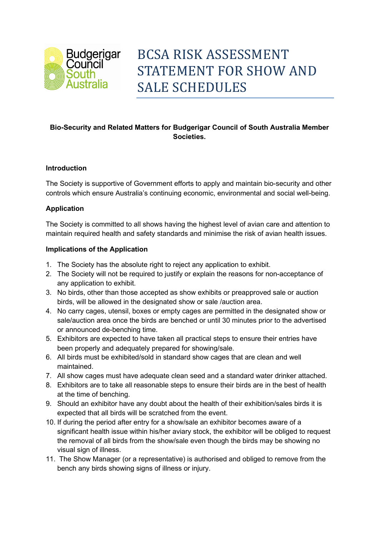

# **Bio-Security and Related Matters for Budgerigar Council of South Australia Member Societies.**

## **Introduction**

The Society is supportive of Government efforts to apply and maintain bio-security and other controls which ensure Australia's continuing economic, environmental and social well-being.

### **Application**

The Society is committed to all shows having the highest level of avian care and attention to maintain required health and safety standards and minimise the risk of avian health issues.

### **Implications of the Application**

- 1. The Society has the absolute right to reject any application to exhibit.
- 2. The Society will not be required to justify or explain the reasons for non-acceptance of any application to exhibit.
- 3. No birds, other than those accepted as show exhibits or preapproved sale or auction birds, will be allowed in the designated show or sale /auction area.
- 4. No carry cages, utensil, boxes or empty cages are permitted in the designated show or sale/auction area once the birds are benched or until 30 minutes prior to the advertised or announced de-benching time.
- 5. Exhibitors are expected to have taken all practical steps to ensure their entries have been properly and adequately prepared for showing/sale.
- 6. All birds must be exhibited/sold in standard show cages that are clean and well maintained.
- 7. All show cages must have adequate clean seed and a standard water drinker attached.
- 8. Exhibitors are to take all reasonable steps to ensure their birds are in the best of health at the time of benching.
- 9. Should an exhibitor have any doubt about the health of their exhibition/sales birds it is expected that all birds will be scratched from the event.
- 10. If during the period after entry for a show/sale an exhibitor becomes aware of a significant health issue within his/her aviary stock, the exhibitor will be obliged to request the removal of all birds from the show/sale even though the birds may be showing no visual sign of illness.
- 11. The Show Manager (or a representative) is authorised and obliged to remove from the bench any birds showing signs of illness or injury.